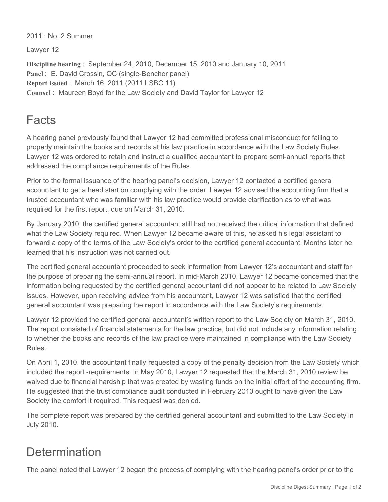2011 : No. 2 Summer

Lawyer 12

**Discipline hearing** : September 24, 2010, December 15, 2010 and January 10, 2011 Panel : E. David Crossin, QC (single-Bencher panel) **Report issued** : March 16, 2011 (2011 LSBC 11) **Counsel** : Maureen Boyd for the Law Society and David Taylor for Lawyer 12

## Facts

A hearing panel previously found that Lawyer 12 had committed professional misconduct for failing to properly maintain the books and records at his law practice in accordance with the Law Society Rules. Lawyer 12 was ordered to retain and instruct a qualified accountant to prepare semi-annual reports that addressed the compliance requirements of the Rules.

Prior to the formal issuance of the hearing panel's decision, Lawyer 12 contacted a certified general accountant to get a head start on complying with the order. Lawyer 12 advised the accounting firm that a trusted accountant who was familiar with his law practice would provide clarification as to what was required for the first report, due on March 31, 2010.

By January 2010, the certified general accountant still had not received the critical information that defined what the Law Society required. When Lawyer 12 became aware of this, he asked his legal assistant to forward a copy of the terms of the Law Society's order to the certified general accountant. Months later he learned that his instruction was not carried out.

The certified general accountant proceeded to seek information from Lawyer 12's accountant and staff for the purpose of preparing the semi-annual report. In mid-March 2010, Lawyer 12 became concerned that the information being requested by the certified general accountant did not appear to be related to Law Society issues. However, upon receiving advice from his accountant, Lawyer 12 was satisfied that the certified general accountant was preparing the report in accordance with the Law Society's requirements.

Lawyer 12 provided the certified general accountant's written report to the Law Society on March 31, 2010. The report consisted of financial statements for the law practice, but did not include any information relating to whether the books and records of the law practice were maintained in compliance with the Law Society Rules.

On April 1, 2010, the accountant finally requested a copy of the penalty decision from the Law Society which included the report -requirements. In May 2010, Lawyer 12 requested that the March 31, 2010 review be waived due to financial hardship that was created by wasting funds on the initial effort of the accounting firm. He suggested that the trust compliance audit conducted in February 2010 ought to have given the Law Society the comfort it required. This request was denied.

The complete report was prepared by the certified general accountant and submitted to the Law Society in July 2010.

## **Determination**

The panel noted that Lawyer 12 began the process of complying with the hearing panel's order prior to the